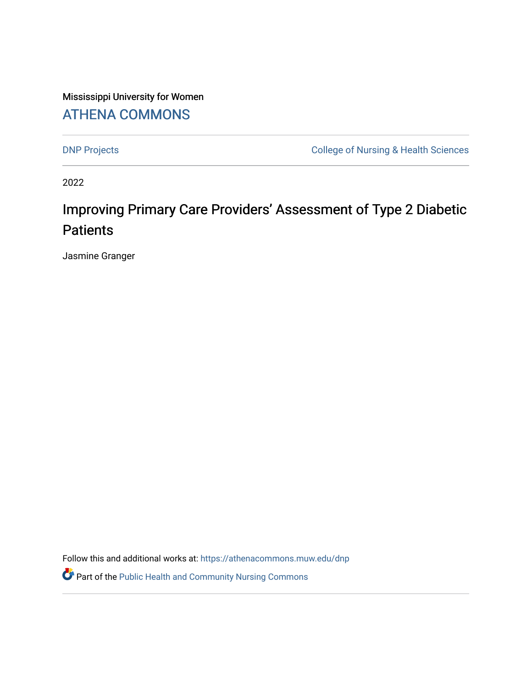Mississippi University for Women [ATHENA COMMONS](https://athenacommons.muw.edu/) 

[DNP Projects](https://athenacommons.muw.edu/dnp) **College of Nursing & Health Sciences** 

2022

# Improving Primary Care Providers' Assessment of Type 2 Diabetic **Patients**

Jasmine Granger

Follow this and additional works at: [https://athenacommons.muw.edu/dnp](https://athenacommons.muw.edu/dnp?utm_source=athenacommons.muw.edu%2Fdnp%2F7&utm_medium=PDF&utm_campaign=PDFCoverPages)

**P** Part of the Public Health and Community Nursing Commons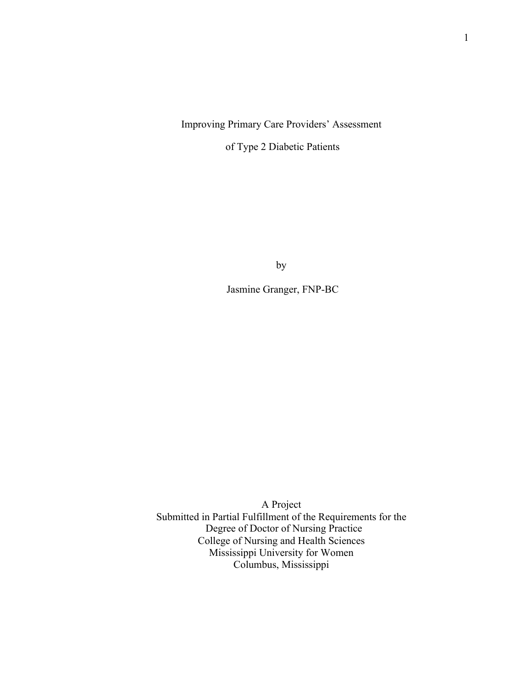# Improving Primary Care Providers' Assessment

of Type 2 Diabetic Patients

by

Jasmine Granger, FNP-BC

A Project Submitted in Partial Fulfillment of the Requirements for the Degree of Doctor of Nursing Practice College of Nursing and Health Sciences Mississippi University for Women Columbus, Mississippi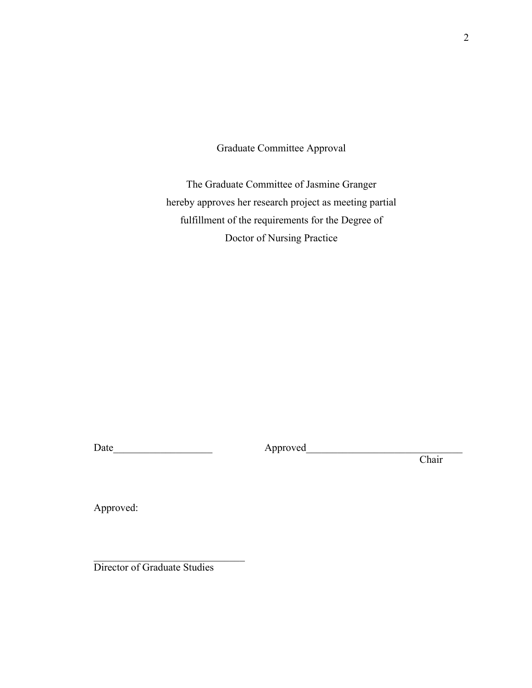Graduate Committee Approval

The Graduate Committee of Jasmine Granger hereby approves her research project as meeting partial fulfillment of the requirements for the Degree of Doctor of Nursing Practice

Date\_\_\_\_\_\_\_\_\_\_\_\_\_\_\_\_\_\_\_ Approved\_\_\_\_\_\_\_\_\_\_\_\_\_\_\_\_\_\_\_\_\_\_\_\_\_\_\_\_\_\_

Chair

Approved:

Director of Graduate Studies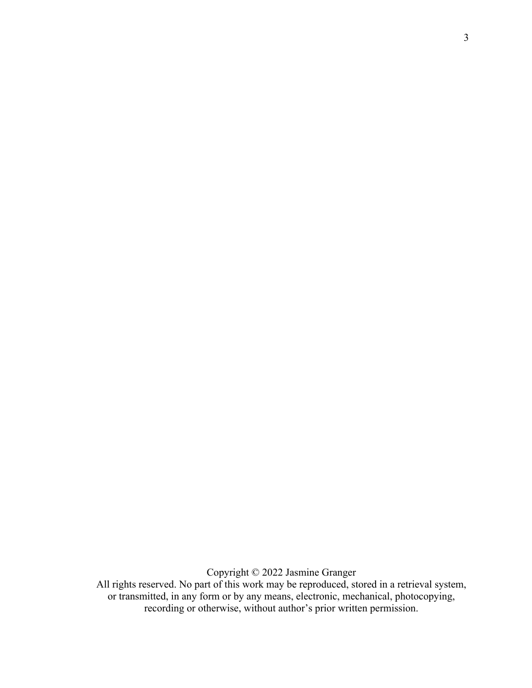Copyright © 2022 Jasmine Granger

All rights reserved. No part of this work may be reproduced, stored in a retrieval system, or transmitted, in any form or by any means, electronic, mechanical, photocopying, recording or otherwise, without author's prior written permission.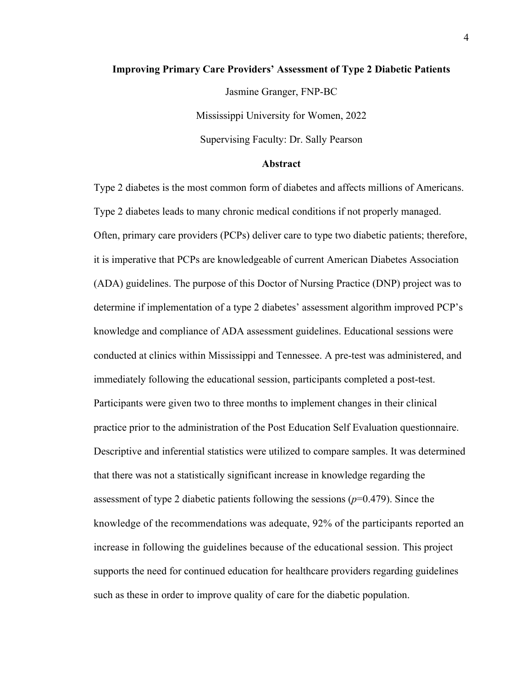### **Improving Primary Care Providers' Assessment of Type 2 Diabetic Patients**

Jasmine Granger, FNP-BC

Mississippi University for Women, 2022

Supervising Faculty: Dr. Sally Pearson

# **Abstract**

Type 2 diabetes is the most common form of diabetes and affects millions of Americans. Type 2 diabetes leads to many chronic medical conditions if not properly managed. Often, primary care providers (PCPs) deliver care to type two diabetic patients; therefore, it is imperative that PCPs are knowledgeable of current American Diabetes Association (ADA) guidelines. The purpose of this Doctor of Nursing Practice (DNP) project was to determine if implementation of a type 2 diabetes' assessment algorithm improved PCP's knowledge and compliance of ADA assessment guidelines. Educational sessions were conducted at clinics within Mississippi and Tennessee. A pre-test was administered, and immediately following the educational session, participants completed a post-test. Participants were given two to three months to implement changes in their clinical practice prior to the administration of the Post Education Self Evaluation questionnaire. Descriptive and inferential statistics were utilized to compare samples. It was determined that there was not a statistically significant increase in knowledge regarding the assessment of type 2 diabetic patients following the sessions (*p*=0.479). Since the knowledge of the recommendations was adequate, 92% of the participants reported an increase in following the guidelines because of the educational session. This project supports the need for continued education for healthcare providers regarding guidelines such as these in order to improve quality of care for the diabetic population.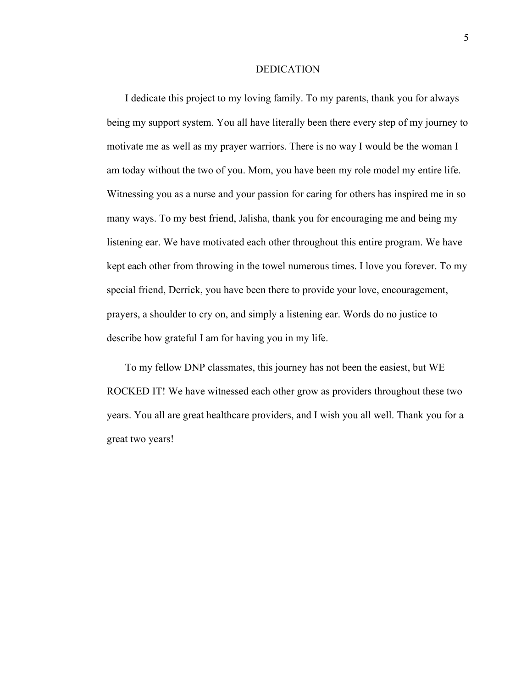#### DEDICATION

I dedicate this project to my loving family. To my parents, thank you for always being my support system. You all have literally been there every step of my journey to motivate me as well as my prayer warriors. There is no way I would be the woman I am today without the two of you. Mom, you have been my role model my entire life. Witnessing you as a nurse and your passion for caring for others has inspired me in so many ways. To my best friend, Jalisha, thank you for encouraging me and being my listening ear. We have motivated each other throughout this entire program. We have kept each other from throwing in the towel numerous times. I love you forever. To my special friend, Derrick, you have been there to provide your love, encouragement, prayers, a shoulder to cry on, and simply a listening ear. Words do no justice to describe how grateful I am for having you in my life.

To my fellow DNP classmates, this journey has not been the easiest, but WE ROCKED IT! We have witnessed each other grow as providers throughout these two years. You all are great healthcare providers, and I wish you all well. Thank you for a great two years!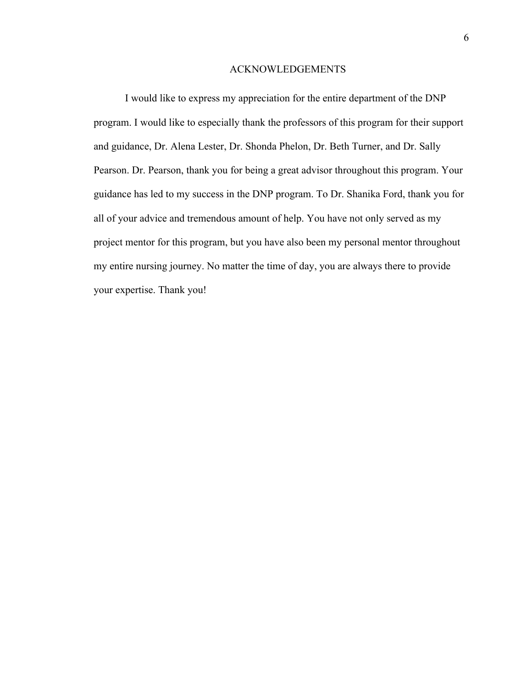#### ACKNOWLEDGEMENTS

I would like to express my appreciation for the entire department of the DNP program. I would like to especially thank the professors of this program for their support and guidance, Dr. Alena Lester, Dr. Shonda Phelon, Dr. Beth Turner, and Dr. Sally Pearson. Dr. Pearson, thank you for being a great advisor throughout this program. Your guidance has led to my success in the DNP program. To Dr. Shanika Ford, thank you for all of your advice and tremendous amount of help. You have not only served as my project mentor for this program, but you have also been my personal mentor throughout my entire nursing journey. No matter the time of day, you are always there to provide your expertise. Thank you!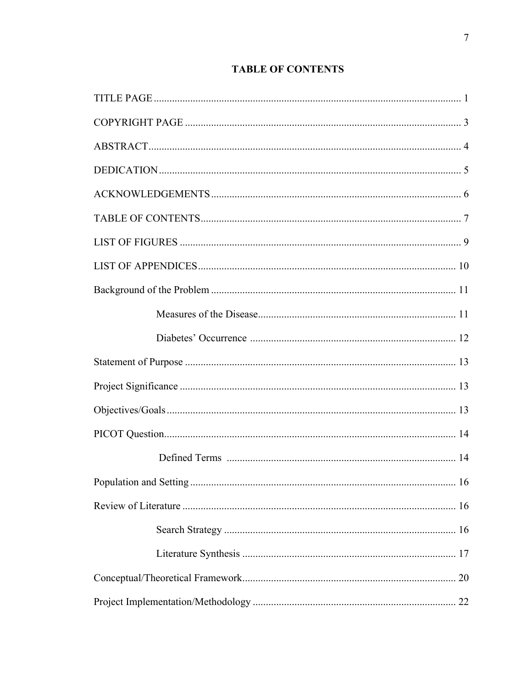# **TABLE OF CONTENTS**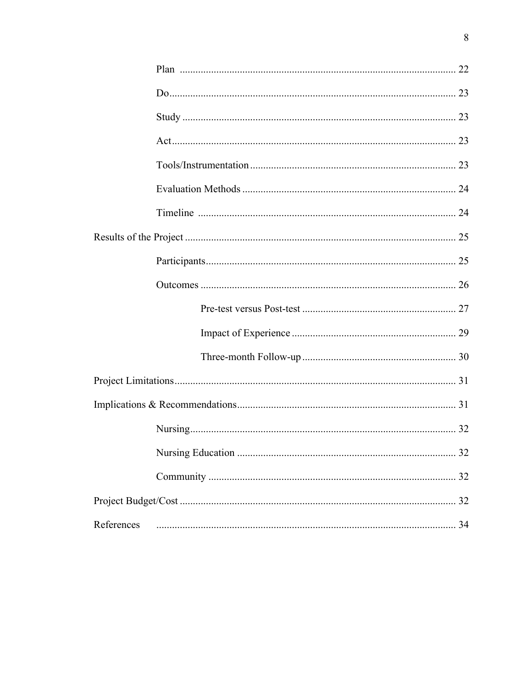| References |  |
|------------|--|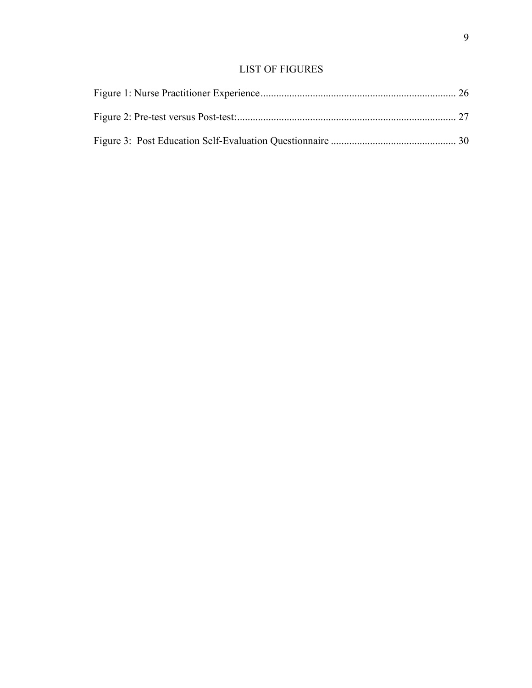# LIST OF FIGURES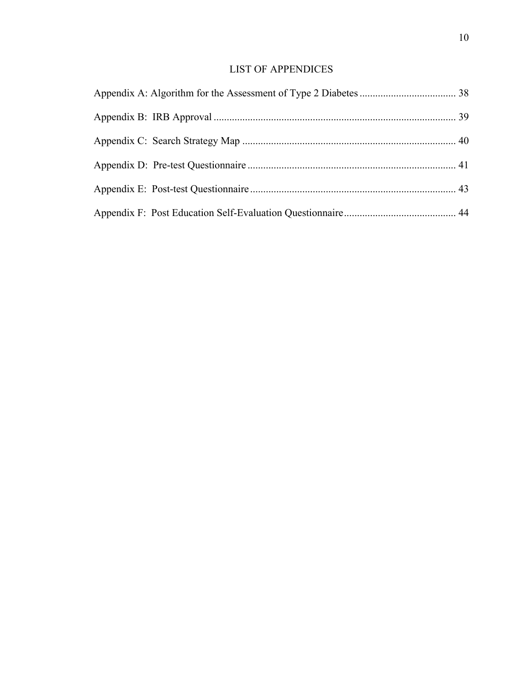# LIST OF APPENDICES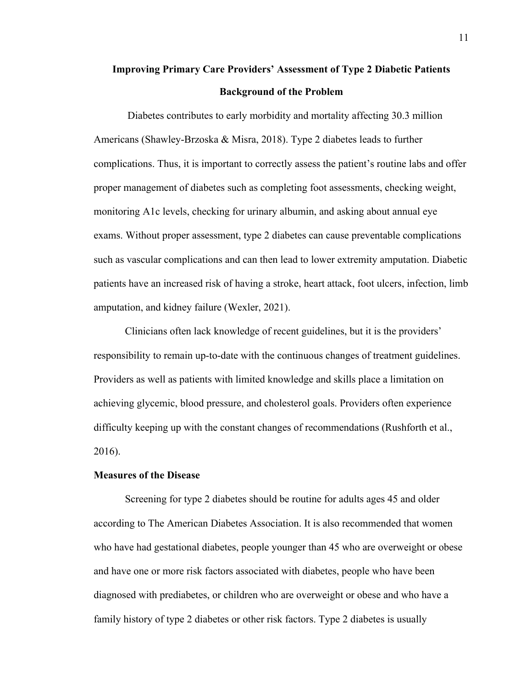# **Improving Primary Care Providers' Assessment of Type 2 Diabetic Patients Background of the Problem**

Diabetes contributes to early morbidity and mortality affecting 30.3 million Americans (Shawley-Brzoska & Misra, 2018). Type 2 diabetes leads to further complications. Thus, it is important to correctly assess the patient's routine labs and offer proper management of diabetes such as completing foot assessments, checking weight, monitoring A1c levels, checking for urinary albumin, and asking about annual eye exams. Without proper assessment, type 2 diabetes can cause preventable complications such as vascular complications and can then lead to lower extremity amputation. Diabetic patients have an increased risk of having a stroke, heart attack, foot ulcers, infection, limb amputation, and kidney failure (Wexler, 2021).

Clinicians often lack knowledge of recent guidelines, but it is the providers' responsibility to remain up-to-date with the continuous changes of treatment guidelines. Providers as well as patients with limited knowledge and skills place a limitation on achieving glycemic, blood pressure, and cholesterol goals. Providers often experience difficulty keeping up with the constant changes of recommendations (Rushforth et al., 2016).

# **Measures of the Disease**

Screening for type 2 diabetes should be routine for adults ages 45 and older according to The American Diabetes Association. It is also recommended that women who have had gestational diabetes, people younger than 45 who are overweight or obese and have one or more risk factors associated with diabetes, people who have been diagnosed with prediabetes, or children who are overweight or obese and who have a family history of type 2 diabetes or other risk factors. Type 2 diabetes is usually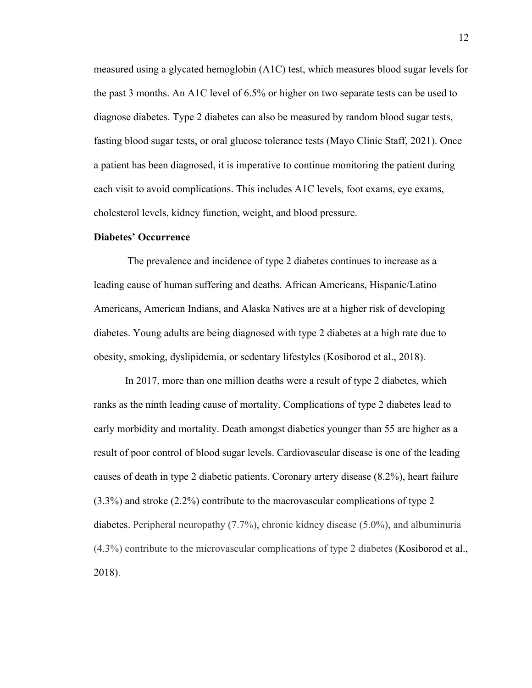measured using a glycated hemoglobin (A1C) test, which measures blood sugar levels for the past 3 months. An A1C level of 6.5% or higher on two separate tests can be used to diagnose diabetes. Type 2 diabetes can also be measured by random blood sugar tests, fasting blood sugar tests, or oral glucose tolerance tests (Mayo Clinic Staff, 2021). Once a patient has been diagnosed, it is imperative to continue monitoring the patient during each visit to avoid complications. This includes A1C levels, foot exams, eye exams, cholesterol levels, kidney function, weight, and blood pressure.

### **Diabetes' Occurrence**

The prevalence and incidence of type 2 diabetes continues to increase as a leading cause of human suffering and deaths. African Americans, Hispanic/Latino Americans, American Indians, and Alaska Natives are at a higher risk of developing diabetes. Young adults are being diagnosed with type 2 diabetes at a high rate due to obesity, smoking, dyslipidemia, or sedentary lifestyles (Kosiborod et al., 2018).

In 2017, more than one million deaths were a result of type 2 diabetes, which ranks as the ninth leading cause of mortality. Complications of type 2 diabetes lead to early morbidity and mortality. Death amongst diabetics younger than 55 are higher as a result of poor control of blood sugar levels. Cardiovascular disease is one of the leading causes of death in type 2 diabetic patients. Coronary artery disease (8.2%), heart failure (3.3%) and stroke (2.2%) contribute to the macrovascular complications of type 2 diabetes. Peripheral neuropathy (7.7%), chronic kidney disease (5.0%), and albuminuria (4.3%) contribute to the microvascular complications of type 2 diabetes (Kosiborod et al., 2018).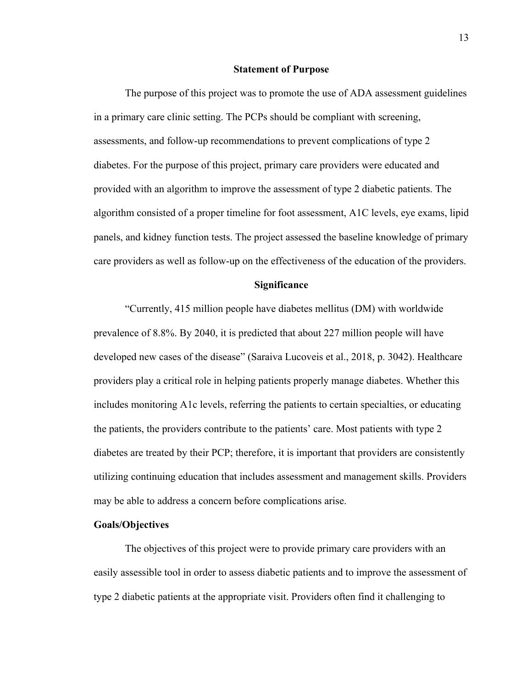#### **Statement of Purpose**

The purpose of this project was to promote the use of ADA assessment guidelines in a primary care clinic setting. The PCPs should be compliant with screening, assessments, and follow-up recommendations to prevent complications of type 2 diabetes. For the purpose of this project, primary care providers were educated and provided with an algorithm to improve the assessment of type 2 diabetic patients. The algorithm consisted of a proper timeline for foot assessment, A1C levels, eye exams, lipid panels, and kidney function tests. The project assessed the baseline knowledge of primary care providers as well as follow-up on the effectiveness of the education of the providers.

### **Significance**

"Currently, 415 million people have diabetes mellitus (DM) with worldwide prevalence of 8.8%. By 2040, it is predicted that about 227 million people will have developed new cases of the disease" (Saraiva Lucoveis et al., 2018, p. 3042). Healthcare providers play a critical role in helping patients properly manage diabetes. Whether this includes monitoring A1c levels, referring the patients to certain specialties, or educating the patients, the providers contribute to the patients' care. Most patients with type 2 diabetes are treated by their PCP; therefore, it is important that providers are consistently utilizing continuing education that includes assessment and management skills. Providers may be able to address a concern before complications arise.

## **Goals/Objectives**

The objectives of this project were to provide primary care providers with an easily assessible tool in order to assess diabetic patients and to improve the assessment of type 2 diabetic patients at the appropriate visit. Providers often find it challenging to

13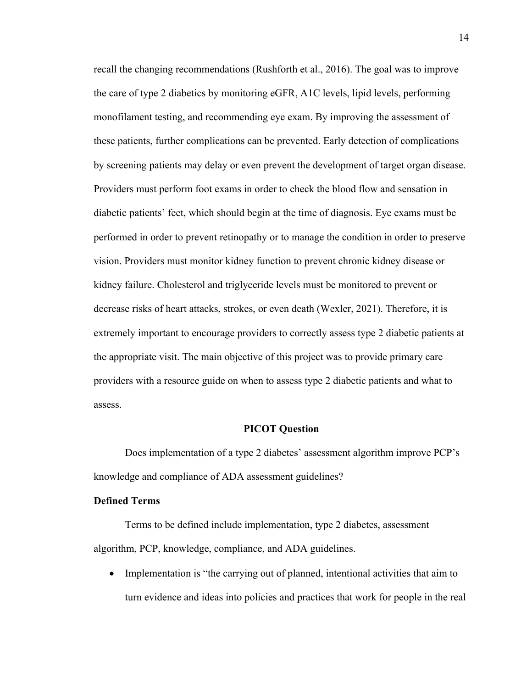recall the changing recommendations (Rushforth et al., 2016). The goal was to improve the care of type 2 diabetics by monitoring eGFR, A1C levels, lipid levels, performing monofilament testing, and recommending eye exam. By improving the assessment of these patients, further complications can be prevented. Early detection of complications by screening patients may delay or even prevent the development of target organ disease. Providers must perform foot exams in order to check the blood flow and sensation in diabetic patients' feet, which should begin at the time of diagnosis. Eye exams must be performed in order to prevent retinopathy or to manage the condition in order to preserve vision. Providers must monitor kidney function to prevent chronic kidney disease or kidney failure. Cholesterol and triglyceride levels must be monitored to prevent or decrease risks of heart attacks, strokes, or even death (Wexler, 2021). Therefore, it is extremely important to encourage providers to correctly assess type 2 diabetic patients at the appropriate visit. The main objective of this project was to provide primary care providers with a resource guide on when to assess type 2 diabetic patients and what to assess.

#### **PICOT Question**

Does implementation of a type 2 diabetes' assessment algorithm improve PCP's knowledge and compliance of ADA assessment guidelines?

## **Defined Terms**

Terms to be defined include implementation, type 2 diabetes, assessment algorithm, PCP, knowledge, compliance, and ADA guidelines.

• Implementation is "the carrying out of planned, intentional activities that aim to turn evidence and ideas into policies and practices that work for people in the real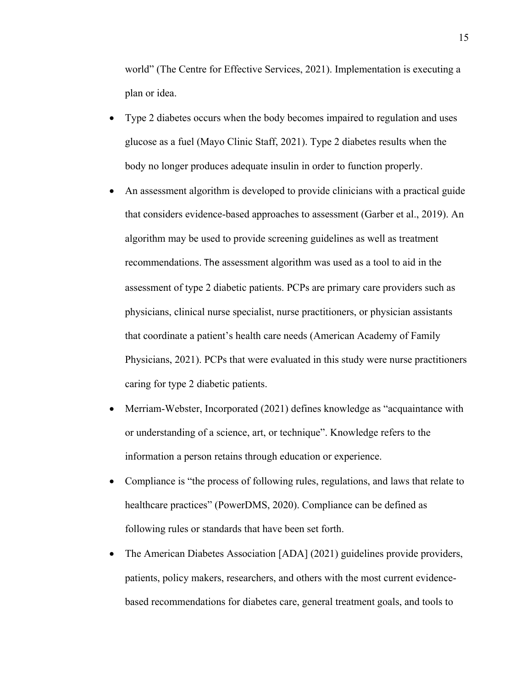world" (The Centre for Effective Services, 2021). Implementation is executing a plan or idea.

- Type 2 diabetes occurs when the body becomes impaired to regulation and uses glucose as a fuel (Mayo Clinic Staff, 2021). Type 2 diabetes results when the body no longer produces adequate insulin in order to function properly.
- An assessment algorithm is developed to provide clinicians with a practical guide that considers evidence-based approaches to assessment (Garber et al., 2019). An algorithm may be used to provide screening guidelines as well as treatment recommendations. The assessment algorithm was used as a tool to aid in the assessment of type 2 diabetic patients. PCPs are primary care providers such as physicians, clinical nurse specialist, nurse practitioners, or physician assistants that coordinate a patient's health care needs (American Academy of Family Physicians, 2021). PCPs that were evaluated in this study were nurse practitioners caring for type 2 diabetic patients.
- Merriam-Webster, Incorporated (2021) defines knowledge as "acquaintance with or understanding of a science, art, or technique". Knowledge refers to the information a person retains through education or experience.
- Compliance is "the process of following rules, regulations, and laws that relate to healthcare practices" (PowerDMS, 2020). Compliance can be defined as following rules or standards that have been set forth.
- The American Diabetes Association [ADA] (2021) guidelines provide providers, patients, policy makers, researchers, and others with the most current evidencebased recommendations for diabetes care, general treatment goals, and tools to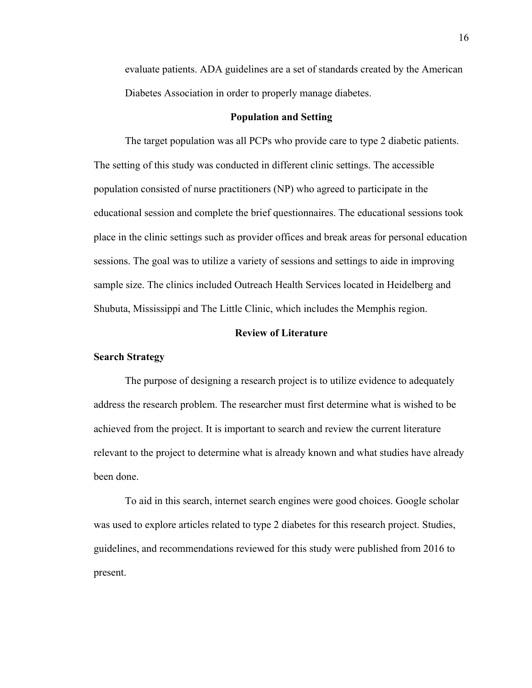evaluate patients. ADA guidelines are a set of standards created by the American Diabetes Association in order to properly manage diabetes.

#### **Population and Setting**

The target population was all PCPs who provide care to type 2 diabetic patients. The setting of this study was conducted in different clinic settings. The accessible population consisted of nurse practitioners (NP) who agreed to participate in the educational session and complete the brief questionnaires. The educational sessions took place in the clinic settings such as provider offices and break areas for personal education sessions. The goal was to utilize a variety of sessions and settings to aide in improving sample size. The clinics included Outreach Health Services located in Heidelberg and Shubuta, Mississippi and The Little Clinic, which includes the Memphis region.

### **Review of Literature**

#### **Search Strategy**

The purpose of designing a research project is to utilize evidence to adequately address the research problem. The researcher must first determine what is wished to be achieved from the project. It is important to search and review the current literature relevant to the project to determine what is already known and what studies have already been done.

To aid in this search, internet search engines were good choices. Google scholar was used to explore articles related to type 2 diabetes for this research project. Studies, guidelines, and recommendations reviewed for this study were published from 2016 to present.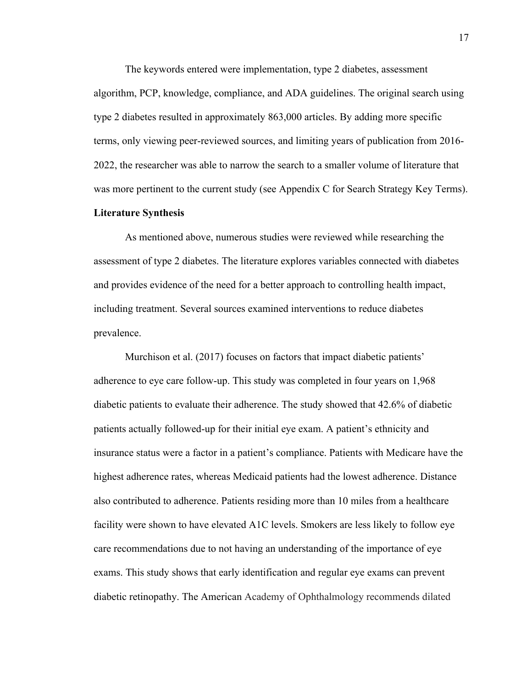The keywords entered were implementation, type 2 diabetes, assessment algorithm, PCP, knowledge, compliance, and ADA guidelines. The original search using type 2 diabetes resulted in approximately 863,000 articles. By adding more specific terms, only viewing peer-reviewed sources, and limiting years of publication from 2016- 2022, the researcher was able to narrow the search to a smaller volume of literature that was more pertinent to the current study (see Appendix C for Search Strategy Key Terms).

#### **Literature Synthesis**

As mentioned above, numerous studies were reviewed while researching the assessment of type 2 diabetes. The literature explores variables connected with diabetes and provides evidence of the need for a better approach to controlling health impact, including treatment. Several sources examined interventions to reduce diabetes prevalence.

Murchison et al. (2017) focuses on factors that impact diabetic patients' adherence to eye care follow-up. This study was completed in four years on 1,968 diabetic patients to evaluate their adherence. The study showed that 42.6% of diabetic patients actually followed-up for their initial eye exam. A patient's ethnicity and insurance status were a factor in a patient's compliance. Patients with Medicare have the highest adherence rates, whereas Medicaid patients had the lowest adherence. Distance also contributed to adherence. Patients residing more than 10 miles from a healthcare facility were shown to have elevated A1C levels. Smokers are less likely to follow eye care recommendations due to not having an understanding of the importance of eye exams. This study shows that early identification and regular eye exams can prevent diabetic retinopathy. The American Academy of Ophthalmology recommends dilated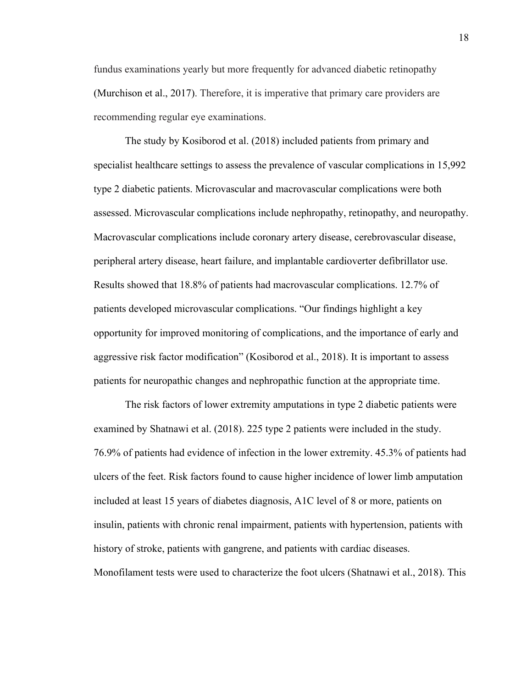fundus examinations yearly but more frequently for advanced diabetic retinopathy (Murchison et al., 2017). Therefore, it is imperative that primary care providers are recommending regular eye examinations.

The study by Kosiborod et al. (2018) included patients from primary and specialist healthcare settings to assess the prevalence of vascular complications in 15,992 type 2 diabetic patients. Microvascular and macrovascular complications were both assessed. Microvascular complications include nephropathy, retinopathy, and neuropathy. Macrovascular complications include coronary artery disease, cerebrovascular disease, peripheral artery disease, heart failure, and implantable cardioverter defibrillator use. Results showed that 18.8% of patients had macrovascular complications. 12.7% of patients developed microvascular complications. "Our findings highlight a key opportunity for improved monitoring of complications, and the importance of early and aggressive risk factor modification" (Kosiborod et al., 2018). It is important to assess patients for neuropathic changes and nephropathic function at the appropriate time.

The risk factors of lower extremity amputations in type 2 diabetic patients were examined by Shatnawi et al. (2018). 225 type 2 patients were included in the study. 76.9% of patients had evidence of infection in the lower extremity. 45.3% of patients had ulcers of the feet. Risk factors found to cause higher incidence of lower limb amputation included at least 15 years of diabetes diagnosis, A1C level of 8 or more, patients on insulin, patients with chronic renal impairment, patients with hypertension, patients with history of stroke, patients with gangrene, and patients with cardiac diseases. Monofilament tests were used to characterize the foot ulcers (Shatnawi et al., 2018). This

18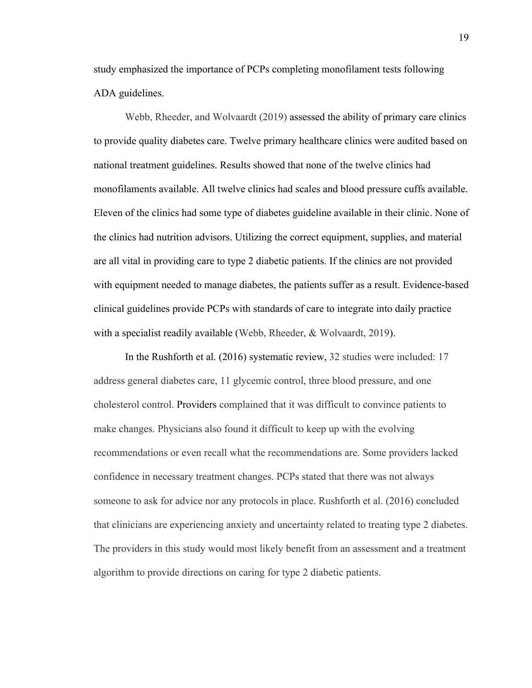study emphasized the importance of PCPs completing monofilament tests following ADA guidelines.

Webb, Rheeder, and Wolvaardt (2019) assessed the ability of primary care clinics to provide quality diabetes care. Twelve primary healthcare clinics were audited based on national treatment guidelines. Results showed that none of the twelve clinics had monofilaments available. All twelve clinics had scales and blood pressure cuffs available. Eleven of the clinics had some type of diabetes guideline available in their clinic. None of the clinics had nutrition advisors. Utilizing the correct equipment, supplies, and material are all vital in providing care to type 2 diabetic patients. If the clinics are not provided with equipment needed to manage diabetes, the patients suffer as a result. Evidence-based clinical guidelines provide PCPs with standards of care to integrate into daily practice with a specialist readily available (Webb, Rheeder, & Wolvaardt, 2019).

In the Rushforth et al. (2016) systematic review, 32 studies were included: 17 address general diabetes care, 11 glycemic control, three blood pressure, and one cholesterol control. Providers complained that it was difficult to convince patients to make changes. Physicians also found it difficult to keep up with the evolving recommendations or even recall what the recommendations are. Some providers lacked confidence in necessary treatment changes. PCPs stated that there was not always someone to ask for advice nor any protocols in place. Rushforth et al. (2016) concluded that clinicians are experiencing anxiety and uncertainty related to treating type 2 diabetes. The providers in this study would most likely benefit from an assessment and a treatment algorithm to provide directions on caring for type 2 diabetic patients.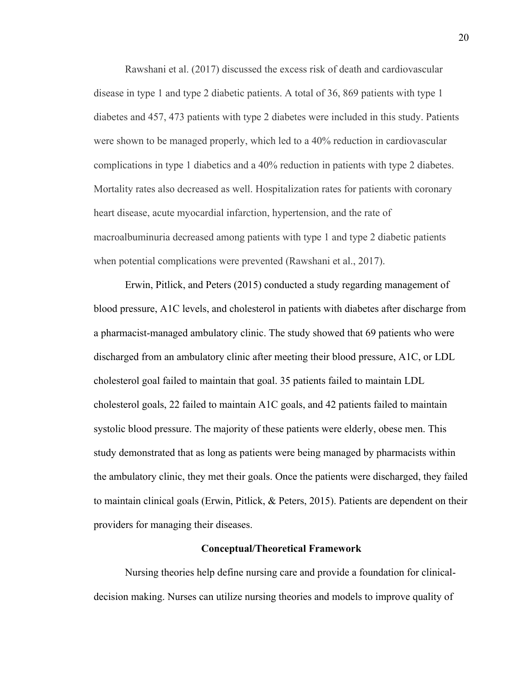Rawshani et al. (2017) discussed the excess risk of death and cardiovascular disease in type 1 and type 2 diabetic patients. A total of 36, 869 patients with type 1 diabetes and 457, 473 patients with type 2 diabetes were included in this study. Patients were shown to be managed properly, which led to a 40% reduction in cardiovascular complications in type 1 diabetics and a 40% reduction in patients with type 2 diabetes. Mortality rates also decreased as well. Hospitalization rates for patients with coronary heart disease, acute myocardial infarction, hypertension, and the rate of macroalbuminuria decreased among patients with type 1 and type 2 diabetic patients when potential complications were prevented (Rawshani et al., 2017).

Erwin, Pitlick, and Peters (2015) conducted a study regarding management of blood pressure, A1C levels, and cholesterol in patients with diabetes after discharge from a pharmacist-managed ambulatory clinic. The study showed that 69 patients who were discharged from an ambulatory clinic after meeting their blood pressure, A1C, or LDL cholesterol goal failed to maintain that goal. 35 patients failed to maintain LDL cholesterol goals, 22 failed to maintain A1C goals, and 42 patients failed to maintain systolic blood pressure. The majority of these patients were elderly, obese men. This study demonstrated that as long as patients were being managed by pharmacists within the ambulatory clinic, they met their goals. Once the patients were discharged, they failed to maintain clinical goals (Erwin, Pitlick, & Peters, 2015). Patients are dependent on their providers for managing their diseases.

#### **Conceptual/Theoretical Framework**

Nursing theories help define nursing care and provide a foundation for clinicaldecision making. Nurses can utilize nursing theories and models to improve quality of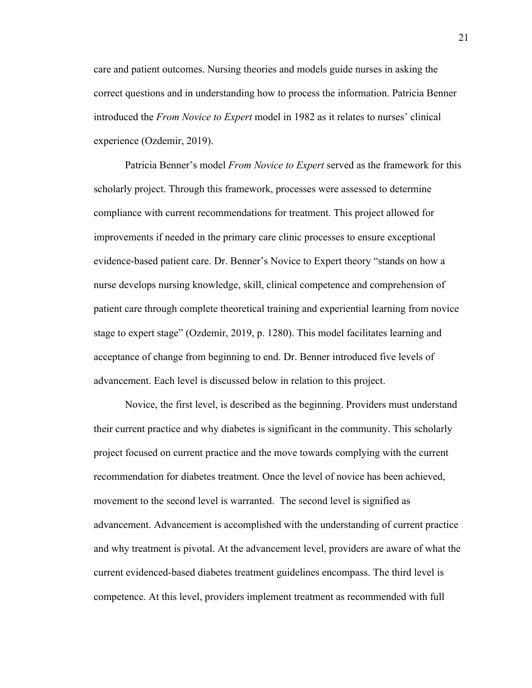care and patient outcomes. Nursing theories and models guide nurses in asking the correct questions and in understanding how to process the information. Patricia Benner introduced the *From Novice to Expert* model in 1982 as it relates to nurses' clinical experience (Ozdemir, 2019).

Patricia Benner's model *From Novice to Expert* served as the framework for this scholarly project. Through this framework, processes were assessed to determine compliance with current recommendations for treatment. This project allowed for improvements if needed in the primary care clinic processes to ensure exceptional evidence-based patient care. Dr. Benner's Novice to Expert theory "stands on how a nurse develops nursing knowledge, skill, clinical competence and comprehension of patient care through complete theoretical training and experiential learning from novice stage to expert stage" (Ozdemir, 2019, p. 1280). This model facilitates learning and acceptance of change from beginning to end. Dr. Benner introduced five levels of advancement. Each level is discussed below in relation to this project.

Novice, the first level, is described as the beginning. Providers must understand their current practice and why diabetes is significant in the community. This scholarly project focused on current practice and the move towards complying with the current recommendation for diabetes treatment. Once the level of novice has been achieved, movement to the second level is warranted. The second level is signified as advancement. Advancement is accomplished with the understanding of current practice and why treatment is pivotal. At the advancement level, providers are aware of what the current evidenced-based diabetes treatment guidelines encompass. The third level is competence. At this level, providers implement treatment as recommended with full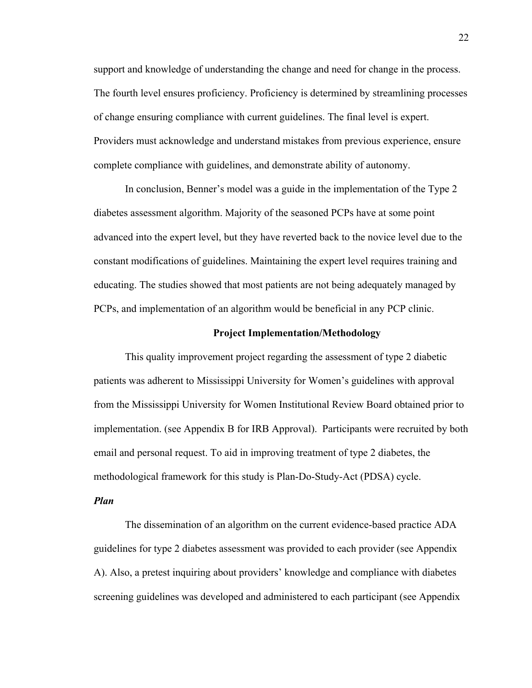support and knowledge of understanding the change and need for change in the process. The fourth level ensures proficiency. Proficiency is determined by streamlining processes of change ensuring compliance with current guidelines. The final level is expert. Providers must acknowledge and understand mistakes from previous experience, ensure complete compliance with guidelines, and demonstrate ability of autonomy.

In conclusion, Benner's model was a guide in the implementation of the Type 2 diabetes assessment algorithm. Majority of the seasoned PCPs have at some point advanced into the expert level, but they have reverted back to the novice level due to the constant modifications of guidelines. Maintaining the expert level requires training and educating. The studies showed that most patients are not being adequately managed by PCPs, and implementation of an algorithm would be beneficial in any PCP clinic.

#### **Project Implementation/Methodology**

This quality improvement project regarding the assessment of type 2 diabetic patients was adherent to Mississippi University for Women's guidelines with approval from the Mississippi University for Women Institutional Review Board obtained prior to implementation. (see Appendix B for IRB Approval). Participants were recruited by both email and personal request. To aid in improving treatment of type 2 diabetes, the methodological framework for this study is Plan-Do-Study-Act (PDSA) cycle.

# *Plan*

The dissemination of an algorithm on the current evidence-based practice ADA guidelines for type 2 diabetes assessment was provided to each provider (see Appendix A). Also, a pretest inquiring about providers' knowledge and compliance with diabetes screening guidelines was developed and administered to each participant (see Appendix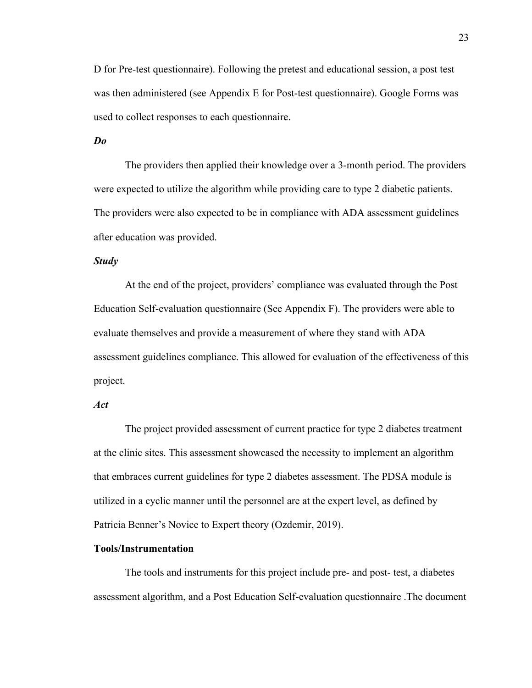D for Pre-test questionnaire). Following the pretest and educational session, a post test was then administered (see Appendix E for Post-test questionnaire). Google Forms was used to collect responses to each questionnaire.

*Do*

The providers then applied their knowledge over a 3-month period. The providers were expected to utilize the algorithm while providing care to type 2 diabetic patients. The providers were also expected to be in compliance with ADA assessment guidelines after education was provided.

### *Study*

At the end of the project, providers' compliance was evaluated through the Post Education Self-evaluation questionnaire (See Appendix F). The providers were able to evaluate themselves and provide a measurement of where they stand with ADA assessment guidelines compliance. This allowed for evaluation of the effectiveness of this project.

# *Act*

The project provided assessment of current practice for type 2 diabetes treatment at the clinic sites. This assessment showcased the necessity to implement an algorithm that embraces current guidelines for type 2 diabetes assessment. The PDSA module is utilized in a cyclic manner until the personnel are at the expert level, as defined by Patricia Benner's Novice to Expert theory (Ozdemir, 2019).

#### **Tools/Instrumentation**

The tools and instruments for this project include pre- and post- test, a diabetes assessment algorithm, and a Post Education Self-evaluation questionnaire .The document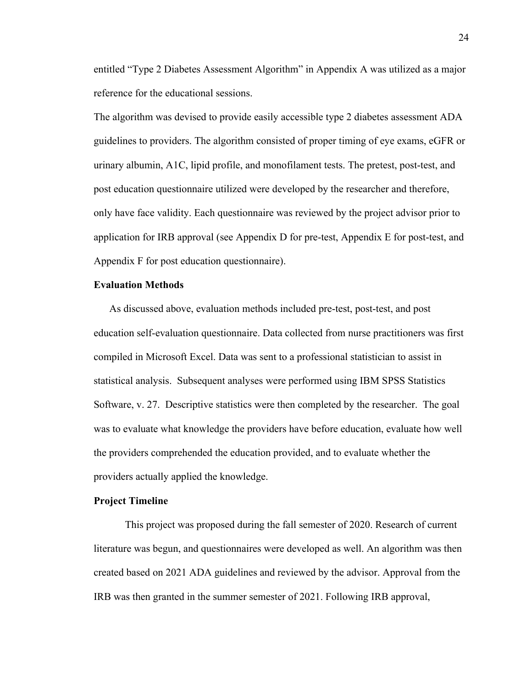entitled "Type 2 Diabetes Assessment Algorithm" in Appendix A was utilized as a major reference for the educational sessions.

The algorithm was devised to provide easily accessible type 2 diabetes assessment ADA guidelines to providers. The algorithm consisted of proper timing of eye exams, eGFR or urinary albumin, A1C, lipid profile, and monofilament tests. The pretest, post-test, and post education questionnaire utilized were developed by the researcher and therefore, only have face validity. Each questionnaire was reviewed by the project advisor prior to application for IRB approval (see Appendix D for pre-test, Appendix E for post-test, and Appendix F for post education questionnaire).

# **Evaluation Methods**

As discussed above, evaluation methods included pre-test, post-test, and post education self-evaluation questionnaire. Data collected from nurse practitioners was first compiled in Microsoft Excel. Data was sent to a professional statistician to assist in statistical analysis. Subsequent analyses were performed using IBM SPSS Statistics Software, v. 27. Descriptive statistics were then completed by the researcher. The goal was to evaluate what knowledge the providers have before education, evaluate how well the providers comprehended the education provided, and to evaluate whether the providers actually applied the knowledge.

# **Project Timeline**

This project was proposed during the fall semester of 2020. Research of current literature was begun, and questionnaires were developed as well. An algorithm was then created based on 2021 ADA guidelines and reviewed by the advisor. Approval from the IRB was then granted in the summer semester of 2021. Following IRB approval,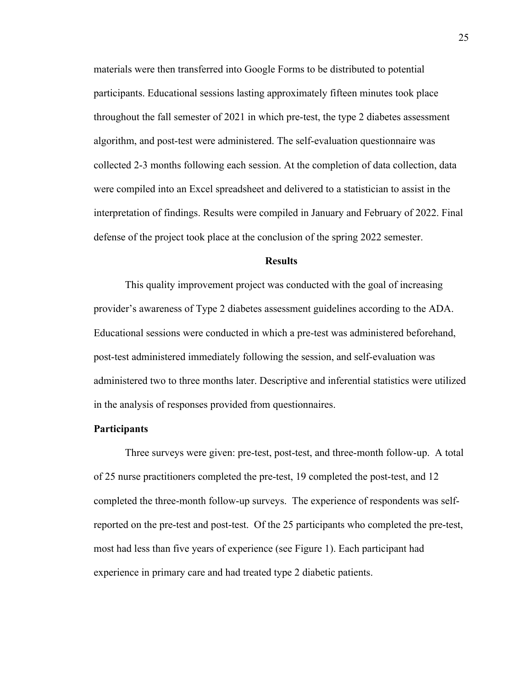materials were then transferred into Google Forms to be distributed to potential participants. Educational sessions lasting approximately fifteen minutes took place throughout the fall semester of 2021 in which pre-test, the type 2 diabetes assessment algorithm, and post-test were administered. The self-evaluation questionnaire was collected 2-3 months following each session. At the completion of data collection, data were compiled into an Excel spreadsheet and delivered to a statistician to assist in the interpretation of findings. Results were compiled in January and February of 2022. Final defense of the project took place at the conclusion of the spring 2022 semester.

#### **Results**

This quality improvement project was conducted with the goal of increasing provider's awareness of Type 2 diabetes assessment guidelines according to the ADA. Educational sessions were conducted in which a pre-test was administered beforehand, post-test administered immediately following the session, and self-evaluation was administered two to three months later. Descriptive and inferential statistics were utilized in the analysis of responses provided from questionnaires.

#### **Participants**

Three surveys were given: pre-test, post-test, and three-month follow-up. A total of 25 nurse practitioners completed the pre-test, 19 completed the post-test, and 12 completed the three-month follow-up surveys. The experience of respondents was selfreported on the pre-test and post-test. Of the 25 participants who completed the pre-test, most had less than five years of experience (see Figure 1). Each participant had experience in primary care and had treated type 2 diabetic patients.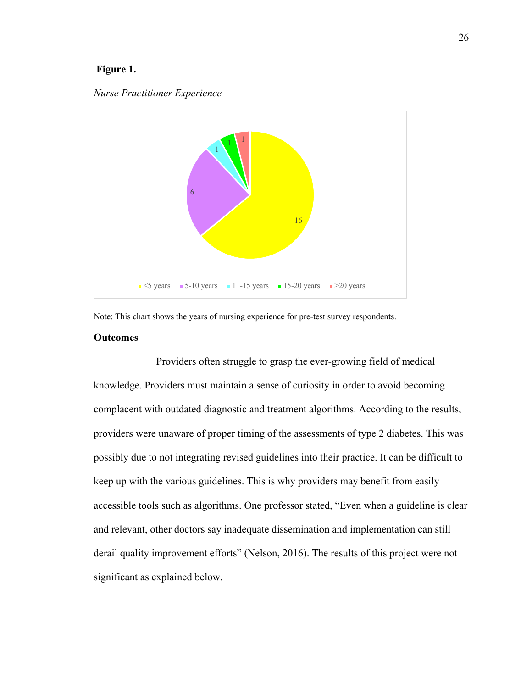# **Figure 1.**





Note: This chart shows the years of nursing experience for pre-test survey respondents.

# **Outcomes**

Providers often struggle to grasp the ever-growing field of medical knowledge. Providers must maintain a sense of curiosity in order to avoid becoming complacent with outdated diagnostic and treatment algorithms. According to the results, providers were unaware of proper timing of the assessments of type 2 diabetes. This was possibly due to not integrating revised guidelines into their practice. It can be difficult to keep up with the various guidelines. This is why providers may benefit from easily accessible tools such as algorithms. One professor stated, "Even when a guideline is clear and relevant, other doctors say inadequate dissemination and implementation can still derail quality improvement efforts" (Nelson, 2016). The results of this project were not significant as explained below.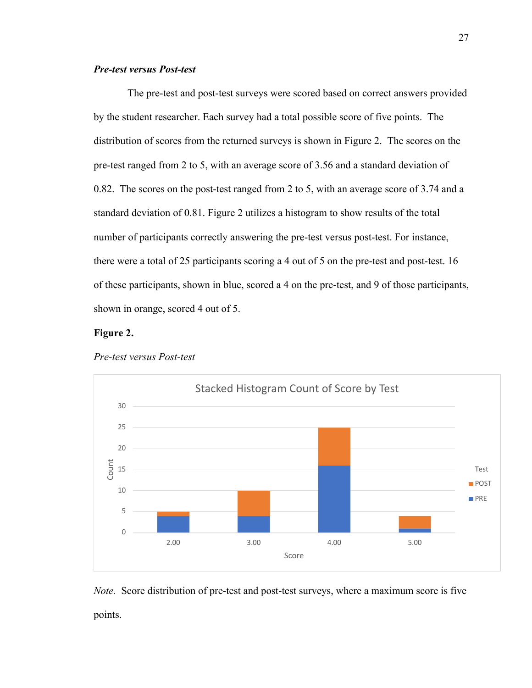# *Pre-test versus Post-test*

The pre-test and post-test surveys were scored based on correct answers provided by the student researcher. Each survey had a total possible score of five points. The distribution of scores from the returned surveys is shown in Figure 2. The scores on the pre-test ranged from 2 to 5, with an average score of 3.56 and a standard deviation of 0.82. The scores on the post-test ranged from 2 to 5, with an average score of 3.74 and a standard deviation of 0.81. Figure 2 utilizes a histogram to show results of the total number of participants correctly answering the pre-test versus post-test. For instance, there were a total of 25 participants scoring a 4 out of 5 on the pre-test and post-test. 16 of these participants, shown in blue, scored a 4 on the pre-test, and 9 of those participants, shown in orange, scored 4 out of 5.

# **Figure 2.**



#### *Pre-test versus Post-test*

*Note.* Score distribution of pre-test and post-test surveys, where a maximum score is five points.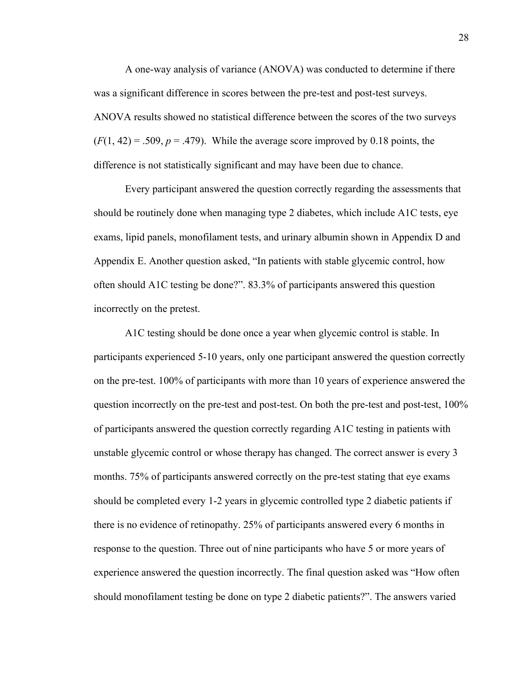A one-way analysis of variance (ANOVA) was conducted to determine if there was a significant difference in scores between the pre-test and post-test surveys. ANOVA results showed no statistical difference between the scores of the two surveys  $(F(1, 42) = .509, p = .479)$ . While the average score improved by 0.18 points, the difference is not statistically significant and may have been due to chance.

Every participant answered the question correctly regarding the assessments that should be routinely done when managing type 2 diabetes, which include A1C tests, eye exams, lipid panels, monofilament tests, and urinary albumin shown in Appendix D and Appendix E. Another question asked, "In patients with stable glycemic control, how often should A1C testing be done?". 83.3% of participants answered this question incorrectly on the pretest.

A1C testing should be done once a year when glycemic control is stable. In participants experienced 5-10 years, only one participant answered the question correctly on the pre-test. 100% of participants with more than 10 years of experience answered the question incorrectly on the pre-test and post-test. On both the pre-test and post-test, 100% of participants answered the question correctly regarding A1C testing in patients with unstable glycemic control or whose therapy has changed. The correct answer is every 3 months. 75% of participants answered correctly on the pre-test stating that eye exams should be completed every 1-2 years in glycemic controlled type 2 diabetic patients if there is no evidence of retinopathy. 25% of participants answered every 6 months in response to the question. Three out of nine participants who have 5 or more years of experience answered the question incorrectly. The final question asked was "How often should monofilament testing be done on type 2 diabetic patients?". The answers varied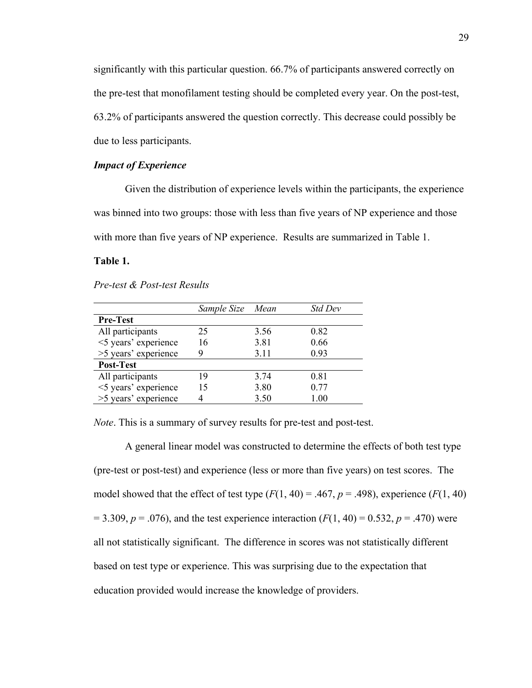significantly with this particular question. 66.7% of participants answered correctly on the pre-test that monofilament testing should be completed every year. On the post-test, 63.2% of participants answered the question correctly. This decrease could possibly be due to less participants.

## *Impact of Experience*

Given the distribution of experience levels within the participants, the experience was binned into two groups: those with less than five years of NP experience and those with more than five years of NP experience. Results are summarized in Table 1.

#### **Table 1.**

#### *Pre-test & Post-test Results*

|                      | Sample Size | Mean | Std Dev |
|----------------------|-------------|------|---------|
| <b>Pre-Test</b>      |             |      |         |
| All participants     | 25          | 3.56 | 0.82    |
| <5 years' experience | 16          | 3.81 | 0.66    |
| >5 years' experience |             | 3.11 | 0.93    |
| Post-Test            |             |      |         |
| All participants     | 19          | 3.74 | 0.81    |
| <5 years' experience | 15          | 3.80 | 0.77    |
| >5 years' experience |             | 3.50 | 1.00    |

*Note*. This is a summary of survey results for pre-test and post-test.

A general linear model was constructed to determine the effects of both test type (pre-test or post-test) and experience (less or more than five years) on test scores. The model showed that the effect of test type  $(F(1, 40) = .467, p = .498)$ , experience  $(F(1, 40)$  $= 3.309, p = .076$ , and the test experience interaction ( $F(1, 40) = 0.532, p = .470$ ) were all not statistically significant. The difference in scores was not statistically different based on test type or experience. This was surprising due to the expectation that education provided would increase the knowledge of providers.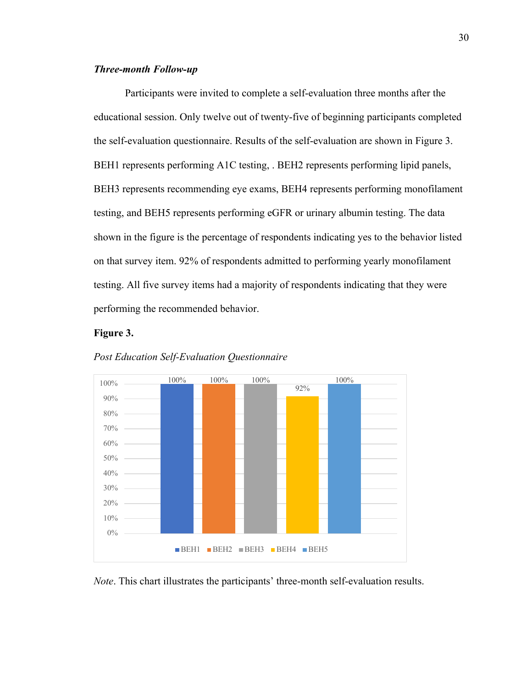# *Three-month Follow-up*

Participants were invited to complete a self-evaluation three months after the educational session. Only twelve out of twenty-five of beginning participants completed the self-evaluation questionnaire. Results of the self-evaluation are shown in Figure 3. BEH1 represents performing A1C testing, . BEH2 represents performing lipid panels, BEH3 represents recommending eye exams, BEH4 represents performing monofilament testing, and BEH5 represents performing eGFR or urinary albumin testing. The data shown in the figure is the percentage of respondents indicating yes to the behavior listed on that survey item. 92% of respondents admitted to performing yearly monofilament testing. All five survey items had a majority of respondents indicating that they were performing the recommended behavior.

# **Figure 3.**



#### *Post Education Self-Evaluation Questionnaire*

*Note*. This chart illustrates the participants' three-month self-evaluation results.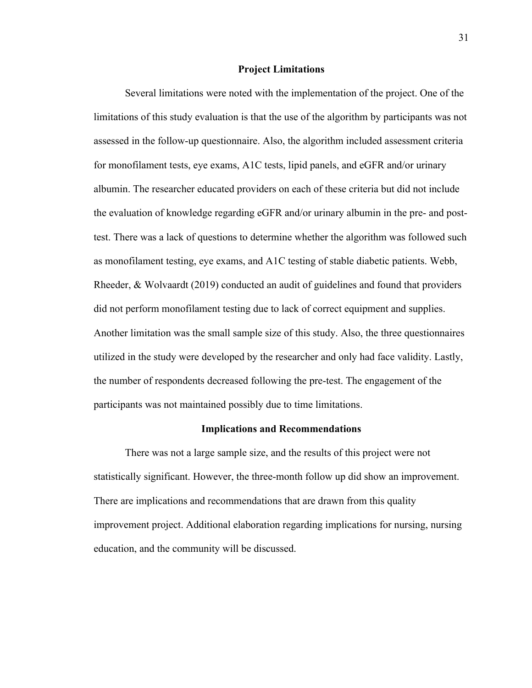#### **Project Limitations**

Several limitations were noted with the implementation of the project. One of the limitations of this study evaluation is that the use of the algorithm by participants was not assessed in the follow-up questionnaire. Also, the algorithm included assessment criteria for monofilament tests, eye exams, A1C tests, lipid panels, and eGFR and/or urinary albumin. The researcher educated providers on each of these criteria but did not include the evaluation of knowledge regarding eGFR and/or urinary albumin in the pre- and posttest. There was a lack of questions to determine whether the algorithm was followed such as monofilament testing, eye exams, and A1C testing of stable diabetic patients. Webb, Rheeder, & Wolvaardt (2019) conducted an audit of guidelines and found that providers did not perform monofilament testing due to lack of correct equipment and supplies. Another limitation was the small sample size of this study. Also, the three questionnaires utilized in the study were developed by the researcher and only had face validity. Lastly, the number of respondents decreased following the pre-test. The engagement of the participants was not maintained possibly due to time limitations.

#### **Implications and Recommendations**

There was not a large sample size, and the results of this project were not statistically significant. However, the three-month follow up did show an improvement. There are implications and recommendations that are drawn from this quality improvement project. Additional elaboration regarding implications for nursing, nursing education, and the community will be discussed.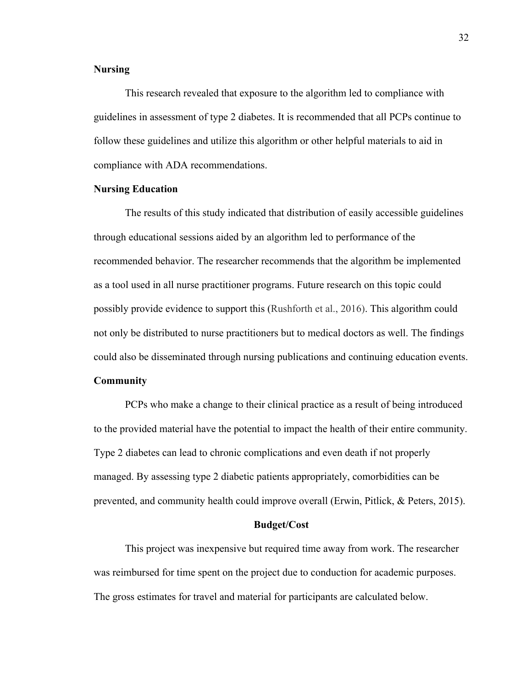#### **Nursing**

This research revealed that exposure to the algorithm led to compliance with guidelines in assessment of type 2 diabetes. It is recommended that all PCPs continue to follow these guidelines and utilize this algorithm or other helpful materials to aid in compliance with ADA recommendations.

#### **Nursing Education**

The results of this study indicated that distribution of easily accessible guidelines through educational sessions aided by an algorithm led to performance of the recommended behavior. The researcher recommends that the algorithm be implemented as a tool used in all nurse practitioner programs. Future research on this topic could possibly provide evidence to support this (Rushforth et al., 2016). This algorithm could not only be distributed to nurse practitioners but to medical doctors as well. The findings could also be disseminated through nursing publications and continuing education events.

#### **Community**

PCPs who make a change to their clinical practice as a result of being introduced to the provided material have the potential to impact the health of their entire community. Type 2 diabetes can lead to chronic complications and even death if not properly managed. By assessing type 2 diabetic patients appropriately, comorbidities can be prevented, and community health could improve overall (Erwin, Pitlick, & Peters, 2015).

## **Budget/Cost**

This project was inexpensive but required time away from work. The researcher was reimbursed for time spent on the project due to conduction for academic purposes. The gross estimates for travel and material for participants are calculated below.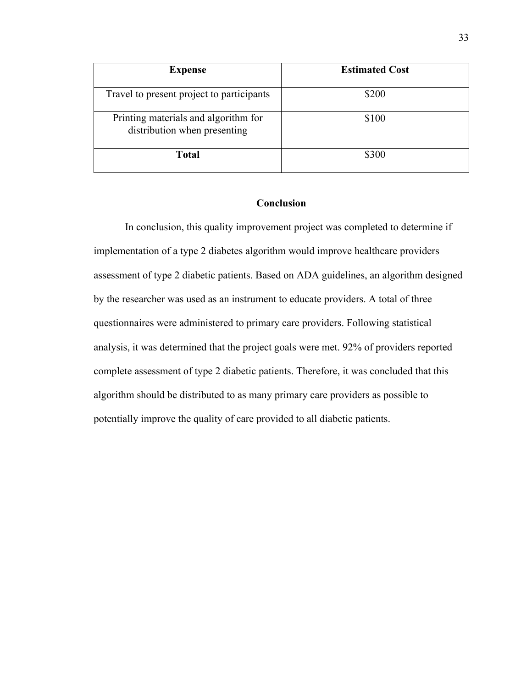| <b>Expense</b>                                                       | <b>Estimated Cost</b> |  |  |
|----------------------------------------------------------------------|-----------------------|--|--|
| Travel to present project to participants                            | \$200                 |  |  |
| Printing materials and algorithm for<br>distribution when presenting | \$100                 |  |  |
| <b>Total</b>                                                         | \$300                 |  |  |

# **Conclusion**

In conclusion, this quality improvement project was completed to determine if implementation of a type 2 diabetes algorithm would improve healthcare providers assessment of type 2 diabetic patients. Based on ADA guidelines, an algorithm designed by the researcher was used as an instrument to educate providers. A total of three questionnaires were administered to primary care providers. Following statistical analysis, it was determined that the project goals were met. 92% of providers reported complete assessment of type 2 diabetic patients. Therefore, it was concluded that this algorithm should be distributed to as many primary care providers as possible to potentially improve the quality of care provided to all diabetic patients.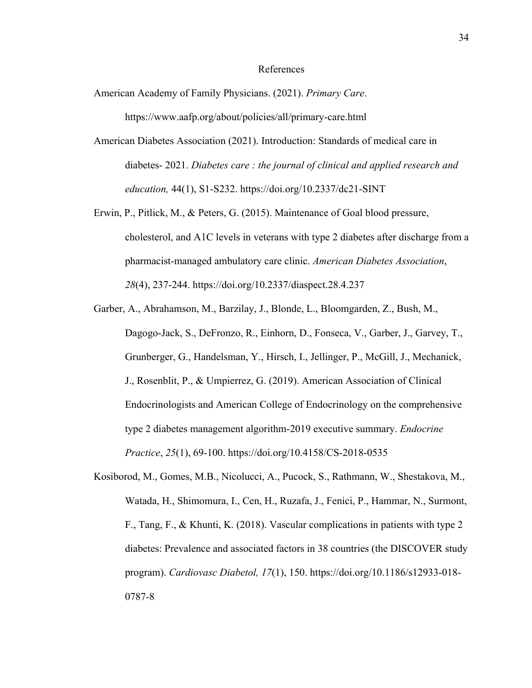#### References

- American Academy of Family Physicians. (2021). *Primary Care*. https://www.aafp.org/about/policies/all/primary-care.html
- American Diabetes Association (2021). Introduction: Standards of medical care in diabetes- 2021. *Diabetes care : the journal of clinical and applied research and education,* 44(1), S1-S232. https://doi.org/10.2337/dc21-SINT
- Erwin, P., Pitlick, M., & Peters, G. (2015). Maintenance of Goal blood pressure, cholesterol, and A1C levels in veterans with type 2 diabetes after discharge from a pharmacist-managed ambulatory care clinic. *American Diabetes Association*, *28*(4), 237-244. https://doi.org/10.2337/diaspect.28.4.237
- Garber, A., Abrahamson, M., Barzilay, J., Blonde, L., Bloomgarden, Z., Bush, M., Dagogo-Jack, S., DeFronzo, R., Einhorn, D., Fonseca, V., Garber, J., Garvey, T., Grunberger, G., Handelsman, Y., Hirsch, I., Jellinger, P., McGill, J., Mechanick, J., Rosenblit, P., & Umpierrez, G. (2019). American Association of Clinical Endocrinologists and American College of Endocrinology on the comprehensive type 2 diabetes management algorithm-2019 executive summary. *Endocrine Practice*, *25*(1), 69-100. https://doi.org/10.4158/CS-2018-0535
- Kosiborod, M., Gomes, M.B., Nicolucci, A., Pucock, S., Rathmann, W., Shestakova, M., Watada, H., Shimomura, I., Cen, H., Ruzafa, J., Fenici, P., Hammar, N., Surmont, F., Tang, F., & Khunti, K. (2018). Vascular complications in patients with type 2 diabetes: Prevalence and associated factors in 38 countries (the DISCOVER study program). *Cardiovasc Diabetol, 17*(1), 150. https://doi.org/10.1186/s12933-018- 0787-8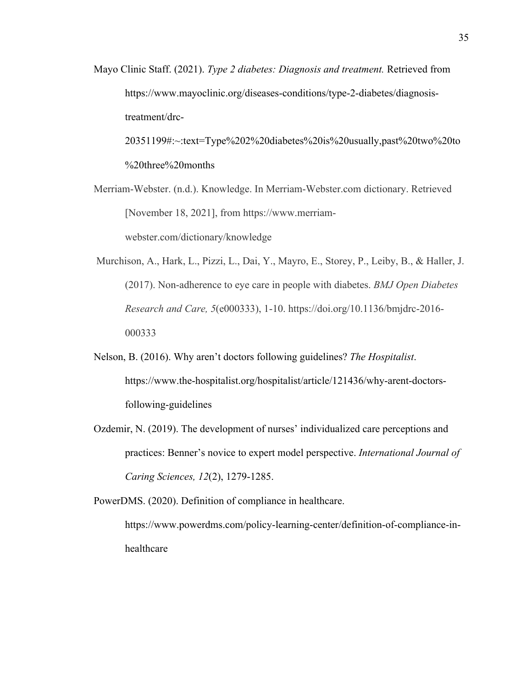Mayo Clinic Staff. (2021). *Type 2 diabetes: Diagnosis and treatment.* Retrieved from https://www.mayoclinic.org/diseases-conditions/type-2-diabetes/diagnosistreatment/drc-

20351199#:~:text=Type%202%20diabetes%20is%20usually,past%20two%20to %20three%20months

Merriam-Webster. (n.d.). Knowledge. In Merriam-Webster.com dictionary. Retrieved [November 18, 2021], from https://www.merriamwebster.com/dictionary/knowledge

Murchison, A., Hark, L., Pizzi, L., Dai, Y., Mayro, E., Storey, P., Leiby, B., & Haller, J. (2017). Non-adherence to eye care in people with diabetes. *BMJ Open Diabetes Research and Care, 5*(e000333), 1-10. https://doi.org/10.1136/bmjdrc-2016- 000333

- Nelson, B. (2016). Why aren't doctors following guidelines? *The Hospitalist*. https://www.the-hospitalist.org/hospitalist/article/121436/why-arent-doctorsfollowing-guidelines
- Ozdemir, N. (2019). The development of nurses' individualized care perceptions and practices: Benner's novice to expert model perspective. *International Journal of Caring Sciences, 12*(2), 1279-1285.

PowerDMS. (2020). Definition of compliance in healthcare.

https://www.powerdms.com/policy-learning-center/definition-of-compliance-inhealthcare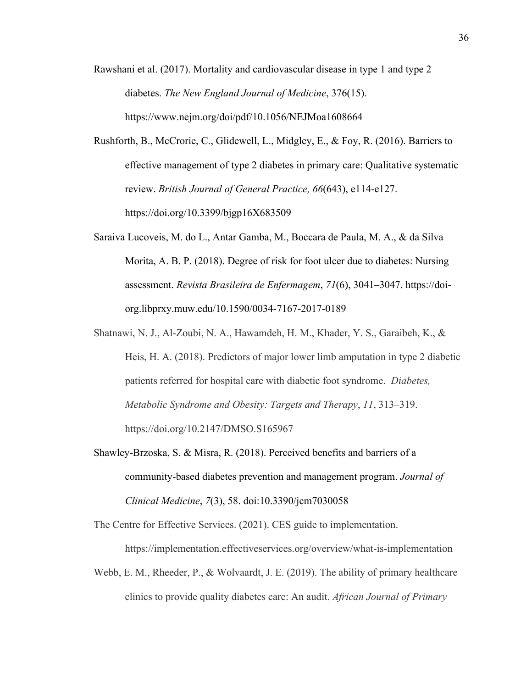- Rawshani et al. (2017). Mortality and cardiovascular disease in type 1 and type 2 diabetes. *The New England Journal of Medicine*, 376(15). https://www.nejm.org/doi/pdf/10.1056/NEJMoa1608664
- Rushforth, B., McCrorie, C., Glidewell, L., Midgley, E., & Foy, R. (2016). Barriers to effective management of type 2 diabetes in primary care: Qualitative systematic review. *British Journal of General Practice, 66*(643), e114-e127. https://doi.org/10.3399/bjgp16X683509
- Saraiva Lucoveis, M. do L., Antar Gamba, M., Boccara de Paula, M. A., & da Silva Morita, A. B. P. (2018). Degree of risk for foot ulcer due to diabetes: Nursing assessment. *Revista Brasileira de Enfermagem*, *71*(6), 3041–3047. https://doiorg.libprxy.muw.edu/10.1590/0034-7167-2017-0189
- Shatnawi, N. J., Al-Zoubi, N. A., Hawamdeh, H. M., Khader, Y. S., Garaibeh, K., & Heis, H. A. (2018). Predictors of major lower limb amputation in type 2 diabetic patients referred for hospital care with diabetic foot syndrome. *Diabetes, Metabolic Syndrome and Obesity: Targets and Therapy*, *11*, 313–319. https://doi.org/10.2147/DMSO.S165967
- Shawley-Brzoska, S. & Misra, R. (2018). Perceived benefits and barriers of a community-based diabetes prevention and management program. *Journal of Clinical Medicine*, *7*(3), 58. doi:10.3390/jcm7030058

The Centre for Effective Services. (2021). CES guide to implementation. https://implementation.effectiveservices.org/overview/what-is-implementation

Webb, E. M., Rheeder, P., & Wolvaardt, J. E. (2019). The ability of primary healthcare clinics to provide quality diabetes care: An audit. *African Journal of Primary*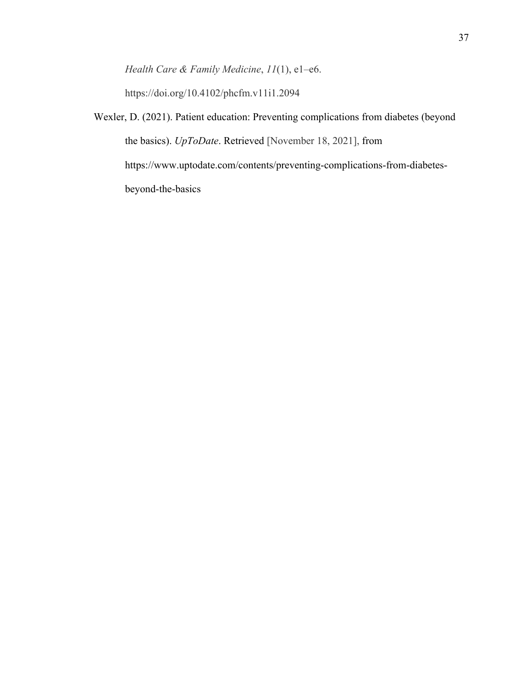*Health Care & Family Medicine*, *11*(1), e1–e6.

https://doi.org/10.4102/phcfm.v11i1.2094

Wexler, D. (2021). Patient education: Preventing complications from diabetes (beyond the basics). *UpToDate*. Retrieved [November 18, 2021], from https://www.uptodate.com/contents/preventing-complications-from-diabetesbeyond-the-basics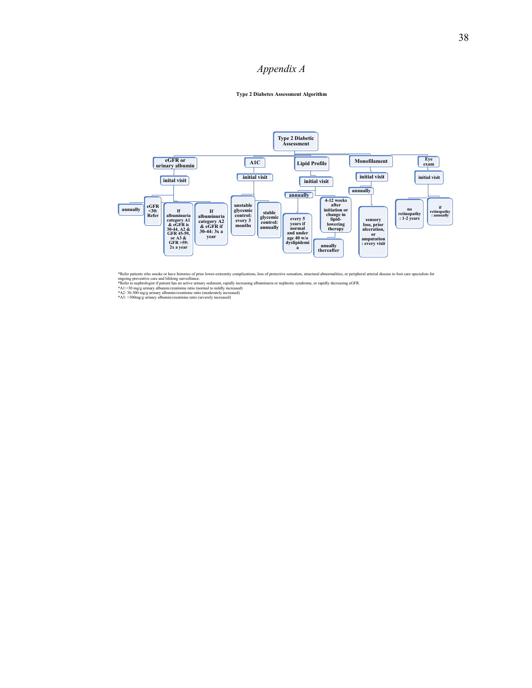# *Appendix A*

#### **Type 2 Diabetes Assessment Algorithm**



\*Refer patients who smoke or have histories of prior lower-extremity complications, loss of protective sensation, structural abnormalities, or peripheral arterial disease to foot care specialists for ongoing preventive car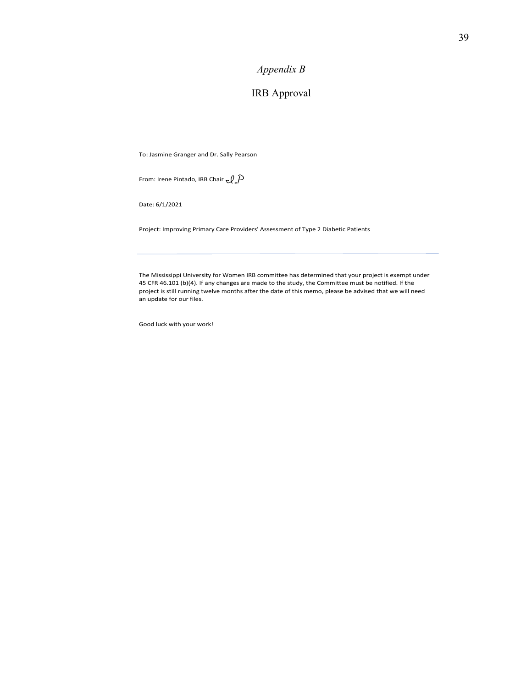# *Appendix B*

# IRB Approval

To: Jasmine Granger and Dr. Sally Pearson

From: Irene Pintado, IRB Chair  $\mathcal{LP}$ 

Date: 6/1/2021

Project: Improving Primary Care Providers' Assessment of Type 2 Diabetic Patients

45 CFR 46.101 (b)(4). If any changes are made to the study, the Committee must be notified. If the project is still running twelve months after the date of this memo, please be advised that we will need an update for our files. The Mississippi University for Women IRB committee has determined that your project is exempt under

Good luck with your work!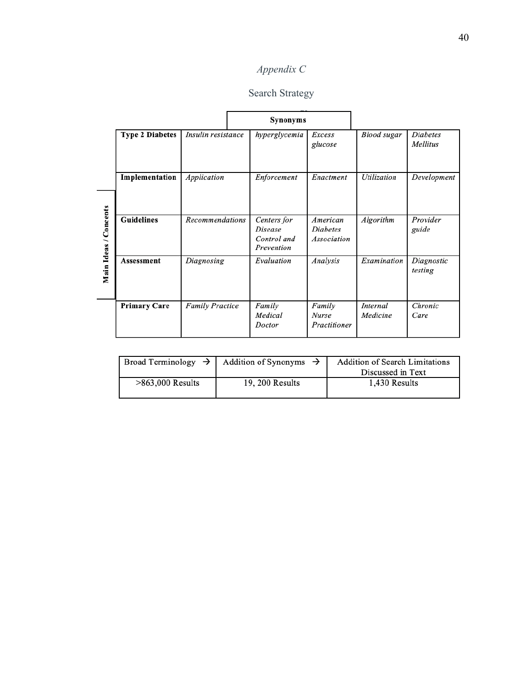# *Appendix C*

# Search Strategy

|                       |                        |                        | <b>Synonyms</b>                                            |                                            |                      |                             |
|-----------------------|------------------------|------------------------|------------------------------------------------------------|--------------------------------------------|----------------------|-----------------------------|
|                       | <b>Type 2 Diabetes</b> | Insulin resistance     | hyperglycemia                                              | Excess<br>glucose                          | <b>Blood</b> sugar   | <b>Diabetes</b><br>Mellitus |
|                       | Implementation         | Application            | Enforcement                                                | Enactment                                  | <b>Utilization</b>   | Development                 |
| Main Ideas / Concepts | <b>Guidelines</b>      | <b>Recommendations</b> | Centers for<br><i>Disease</i><br>Control and<br>Prevention | American<br><i>Diabetes</i><br>Association | Algorithm            | Provider<br>guide           |
|                       | Assessment             | Diagnosing             | Evaluation                                                 | Analysis                                   | Examination          | Diagnostic<br>testing       |
|                       | <b>Primary Care</b>    | <b>Family Practice</b> | Family<br>Medical<br>Doctor                                | Family<br><b>Nurse</b><br>Practitioner     | Internal<br>Medicine | Chronic<br>Care             |

|                    | $\vert$ Broad Terminology $\rightarrow$ Addition of Synonyms $\rightarrow$ | <b>Addition of Search Limitations</b> |
|--------------------|----------------------------------------------------------------------------|---------------------------------------|
|                    |                                                                            | Discussed in Text                     |
| $>863,000$ Results | 19, 200 Results                                                            | 1,430 Results                         |
|                    |                                                                            |                                       |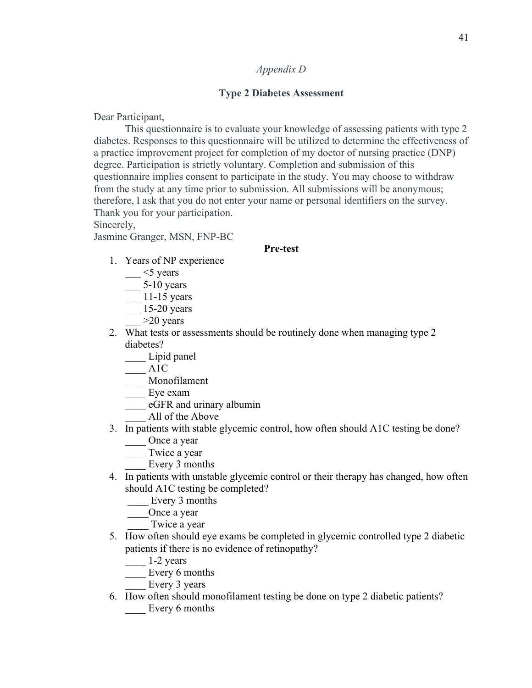# *Appendix D*

# **Type 2 Diabetes Assessment**

Dear Participant,

This questionnaire is to evaluate your knowledge of assessing patients with type 2 diabetes. Responses to this questionnaire will be utilized to determine the effectiveness of a practice improvement project for completion of my doctor of nursing practice (DNP) degree. Participation is strictly voluntary. Completion and submission of this questionnaire implies consent to participate in the study. You may choose to withdraw from the study at any time prior to submission. All submissions will be anonymous; therefore, I ask that you do not enter your name or personal identifiers on the survey. Thank you for your participation.

Sincerely,

Jasmine Granger, MSN, FNP-BC

#### **Pre-test**

- 1. Years of NP experience
	- $\sim$  <5 years
	- $\frac{1}{\sqrt{25}}$  5-10 years
	- \_\_\_ 11-15 years
	- \_\_\_ 15-20 years
	- $>20$  years
- 2. What tests or assessments should be routinely done when managing type 2 diabetes?
	- \_\_\_\_ Lipid panel
	- $\frac{1}{2}$  A1C
	- \_\_\_\_ Monofilament
	- \_\_\_\_ Eye exam
	- \_\_\_\_ eGFR and urinary albumin
		- \_\_\_\_ All of the Above
- 3. In patients with stable glycemic control, how often should A1C testing be done? Once a year
	-
	- Twice a year
		- Every 3 months
- 4. In patients with unstable glycemic control or their therapy has changed, how often should A1C testing be completed?
	- Every 3 months
	- \_\_\_\_Once a year
	- Twice a year
- 5. How often should eye exams be completed in glycemic controlled type 2 diabetic patients if there is no evidence of retinopathy?
	- \_\_\_\_ 1-2 years
	- \_\_\_\_ Every 6 months
	- \_\_\_\_ Every 3 years
- 6. How often should monofilament testing be done on type 2 diabetic patients? Every 6 months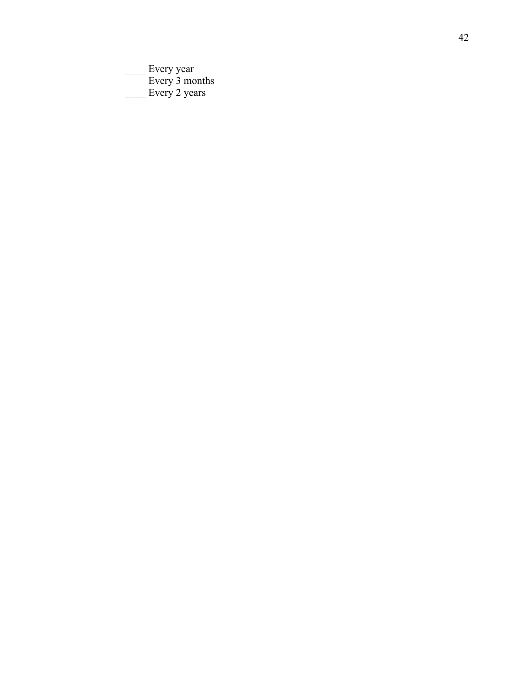\_\_\_\_ Every year Every 3 months Every 2 years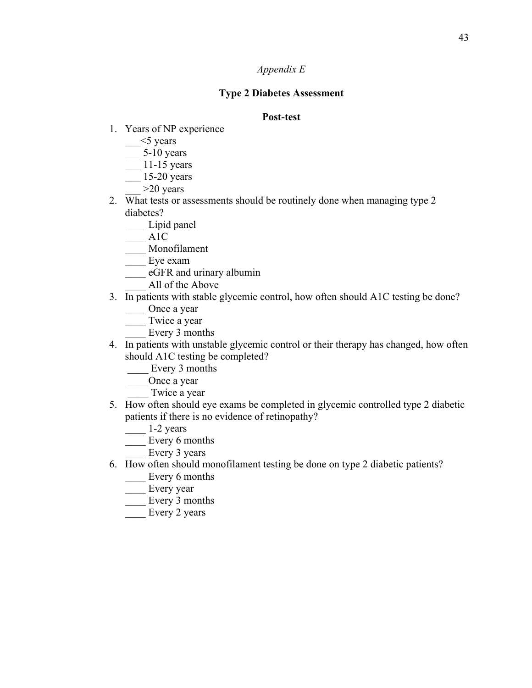# *Appendix E*

# **Type 2 Diabetes Assessment**

# **Post-test**

- 1. Years of NP experience
	- $\frac{\text{-}}{\text{-}}$  <5 years
	- $\frac{5-10 \text{ years}}{2}$
	- $\frac{11-15 \text{ years}}{2}$
	- $15-20$  years
		- $>20$  years
- 2. What tests or assessments should be routinely done when managing type 2 diabetes?
	- Lipid panel
	- $\overline{\phantom{a}}^{\text{AIC}}$
	- \_\_\_\_ Monofilament
	- Eye exam
	- \_\_\_\_ eGFR and urinary albumin
		- All of the Above
- 3. In patients with stable glycemic control, how often should A1C testing be done?
	- \_\_\_\_ Once a year
	- Twice a year
		- Every 3 months
- 4. In patients with unstable glycemic control or their therapy has changed, how often should A1C testing be completed?
	- Every 3 months
	- \_\_\_\_Once a year
		- Twice a year
- 5. How often should eye exams be completed in glycemic controlled type 2 diabetic patients if there is no evidence of retinopathy?
	- $\frac{1-2 \text{ years}}{2}$
	- Every 6 months
	- Every 3 years
- 6. How often should monofilament testing be done on type 2 diabetic patients?
	- \_\_\_\_ Every 6 months
	- Every year
	- Every 3 months
	- Every 2 years